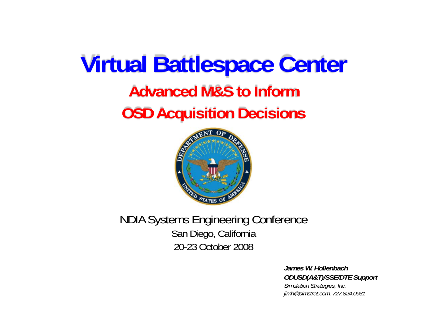# **Advanced M&S to Inform OSD Acquisition Decisions Virtual Battlespace Center**



NDIA Systems Engineering Conference San Diego, California 20-23 October 2008

> *James W. HollenbachODUSD(A&T)/SSE/DTE Support Simulation Strategies, Inc. jimh@simstrat.com, 727.824.0931*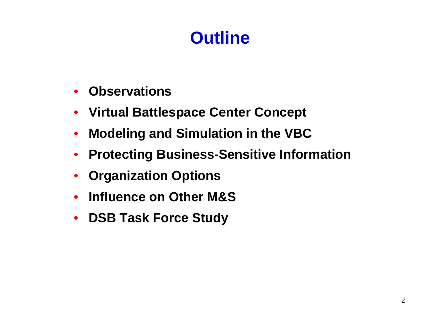### **Outline**

- •**Observations**
- **Virtual Battlespace Center Concept**
- $\bullet$ **Modeling and Simulation in the VBC**
- **Protecting Business-Sensitive Information**
- •**Organization Options**
- •**Influence on Other M&S**
- $\bullet$ **DSB Task Force Study**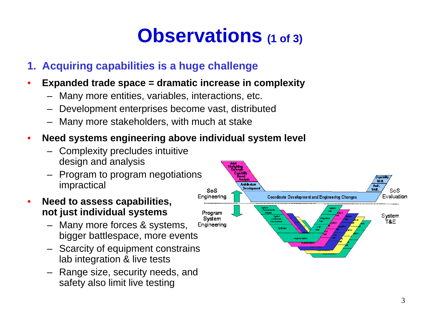## **Observations (1 of 3)**

### **1. Acquiring capabilities is a huge challenge**

- • **Expanded trade space = dramatic increase in complexity**
	- Many more entities, variables, interactions, etc.
	- –Development enterprises become vast, distributed
	- –Many more stakeholders, with much at stake

#### •**Need systems engineering above individual system level**

- Complexity precludes intuitive design and analysis
- Program to program negotiations impractical
- • **Need to assess capabilities, not just individual systems**
	- Many more forces & systems, bigger battlespace, more events
	- Scarcity of equipment constrains lab integration & live tests
	- – Range size, security needs, and safety also limit live testing

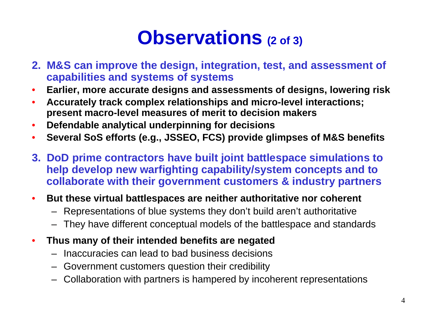## **Observations (2 of 3)**

- **2. M&S can improve the design, integration, test, and assessment of capabilities and systems of systems**
- •**Earlier, more accurate designs and assessments of designs, lowering risk**
- • **Accurately track complex relationships and micro-level interactions; present macro-level measures of merit to decision makers**
- •**Defendable analytical underpinning for decisions**
- •**Several SoS efforts (e.g., JSSEO, FCS) provide glimpses of M&S benefits**
- **3. DoD prime contractors have built joint battlespace simulations to help develop new warfighting capability/system concepts and to collaborate with their government customers & industry partners**
- • **But these virtual battlespaces are neither authoritative nor coherent**
	- Representations of blue systems they don't build aren't authoritative
	- They have different conceptual models of the battlespace and standards
- • **Thus many of their intended benefits are negated**
	- Inaccuracies can lead to bad business decisions
	- Government customers question their credibility
	- Collaboration with partners is hampered by incoherent representations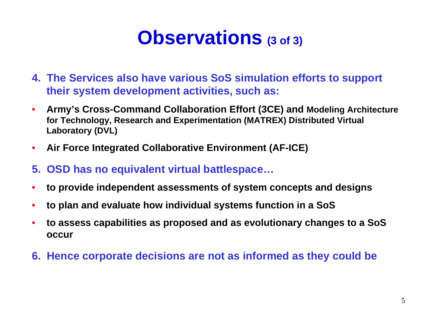### **Observations (3 of 3)**

- **4. The Services also have various SoS simulation efforts to support their system development activities, such as:**
- $\bullet$  **Army's Cross-Command Collaboration Effort (3CE) and Modeling Architecture for Technology, Research and Experimentation (MATREX) Distributed Virtual Laboratory (DVL)**
- $\bullet$ **Air Force Integrated Collaborative Environment (AF-ICE)**
- **5. OSD has no equivalent virtual battlespace…**
- •**to provide independent assessments of system concepts and designs**
- •**to plan and evaluate how individual systems function in a SoS**
- • **to assess capabilities as proposed and as evolutionary changes to a SoS occur**
- **6. Hence corporate decisions are not as informed as they could be**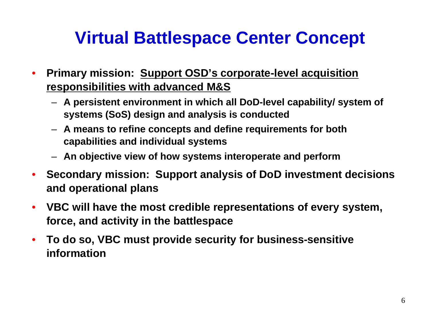### **Virtual Battlespace Center Concept**

- • **Primary mission: Support OSD's corporate-level acquisition responsibilities with advanced M&S**
	- **A persistent environment in which all DoD-level capability/ system of systems (SoS) design and analysis is conducted**
	- **A means to refine concepts and define requirements for both capabilities and individual systems**
	- **An objective view of how systems interoperate and perform**
- • **Secondary mission: Support analysis of DoD investment decisions and operational plans**
- $\bullet$  **VBC will have the most credible representations of every system, force, and activity in the battlespace**
- • **To do so, VBC must provide security for business-sensitive information**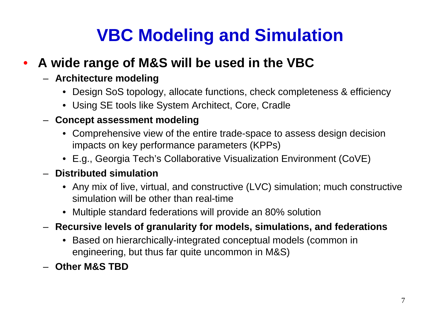### **VBC Modeling and Simulation**

#### •**A wide range of M&S will be used in the VBC**

#### – **Architecture modeling**

- Design SoS topology, allocate functions, check completeness & efficiency
- Using SE tools like System Architect, Core, Cradle

#### – **Concept assessment modeling**

- Comprehensive view of the entire trade-space to assess design decision impacts on key performance parameters (KPPs)
- E.g., Georgia Tech's Collaborative Visualization Environment (CoVE)

### – **Distributed simulation**

- Any mix of live, virtual, and constructive (LVC) simulation; much constructive simulation will be other than real-time
- Multiple standard federations will provide an 80% solution
- **Recursive levels of granularity for models, simulations, and federations**
	- Based on hierarchically-integrated conceptual models (common in engineering, but thus far quite uncommon in M&S)
- **Other M&S TBD**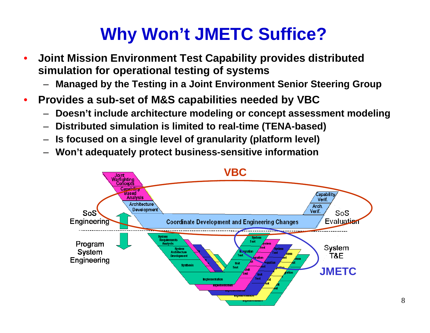### **Why Won't JMETC Suffice?**

- • **Joint Mission Environment Test Capability provides distributed simulation for operational testing of systems**
	- –**Managed by the Testing in a Joint Environment Senior Steering Group**
- $\bullet$  **Provides a sub-set of M&S capabilities needed by VBC**
	- –**Doesn't include architecture modeling or concept assessment modeling**
	- –**Distributed simulation is limited to real-time (TENA-based)**
	- –**Is focused on a single level of granularity (platform level)**
	- –**Won't adequately protect business-sensitive information**

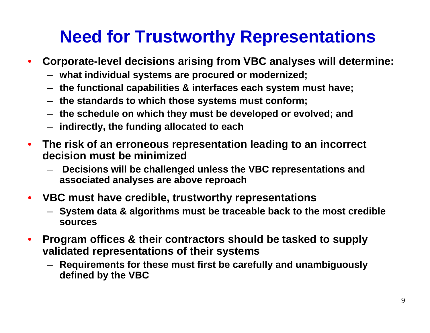### **Need for Trustworthy Representations**

- • **Corporate-level decisions arising from VBC analyses will determine:**
	- **what individual systems are procured or modernized;**
	- **the functional capabilities & interfaces each system must have;**
	- **the standards to which those systems must conform;**
	- **the schedule on which they must be developed or evolved; and**
	- **indirectly, the funding allocated to each**
- • **The risk of an erroneous representation leading to an incorrect decision must be minimized**
	- – **Decisions will be challenged unless the VBC representations and associated analyses are above reproach**
- **VBC must have credible, trustworthy representations**
	- **System data & algorithms must be traceable back to the most credible sources**
- • **Program offices & their contractors should be tasked to supply validated representations of their systems**
	- **Requirements for these must first be carefully and unambiguously defined by the VBC**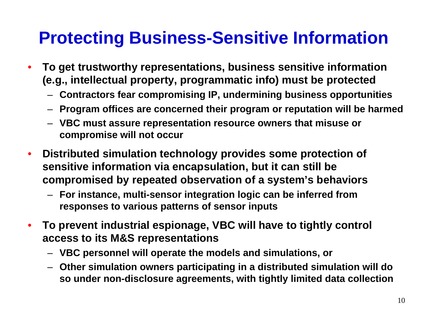### **Protecting Business-Sensitive Information**

- • **To get trustworthy representations, business sensitive information (e.g., intellectual property, programmatic info) must be protected**
	- **Contractors fear compromising IP, undermining business opportunities**
	- **Program offices are concerned their program or reputation will be harmed**
	- **VBC must assure representation resource owners that misuse or compromise will not occur**
- • **Distributed simulation technology provides some protection of sensitive information via encapsulation, but it can still be compromised by repeated observation of a system's behaviors**
	- **For instance, multi-sensor integration logic can be inferred from responses to various patterns of sensor inputs**
- • **To prevent industrial espionage, VBC will have to tightly control access to its M&S representations**
	- **VBC personnel will operate the models and simulations, or**
	- – **Other simulation owners participating in a distributed simulation will do so under non-disclosure agreements, with tightly limited data collection**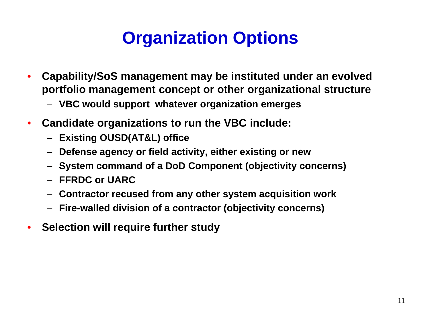### **Organization Options**

- • **Capability/SoS management may be instituted under an evolved portfolio management concept or other organizational structure** 
	- **VBC would support whatever organization emerges**
- • **Candidate organizations to run the VBC include:**
	- **Existing OUSD(AT&L) office**
	- **Defense agency or field activity, either existing or new**
	- **System command of a DoD Component (objectivity concerns)**
	- **FFRDC or UARC**
	- **Contractor recused from any other system acquisition work**
	- **Fire-walled division of a contractor (objectivity concerns)**
- •**Selection will require further study**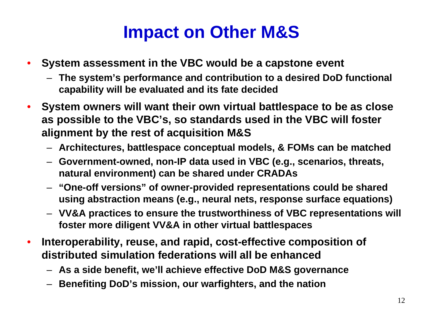### **Impact on Other M&S**

- • **System assessment in the VBC would be a capstone event**
	- **The system's performance and contribution to a desired DoD functional capability will be evaluated and its fate decided**
- • **System owners will want their own virtual battlespace to be as close as possible to the VBC's, so standards used in the VBC will foster alignment by the rest of acquisition M&S**
	- **Architectures, battlespace conceptual models, & FOMs can be matched**
	- **Government-owned, non-IP data used in VBC (e.g., scenarios, threats, natural environment) can be shared under CRADAs**
	- **"One-off versions" of owner-provided representations could be shared using abstraction means (e.g., neural nets, response surface equations)**
	- **VV&A practices to ensure the trustworthiness of VBC representations will foster more diligent VV&A in other virtual battlespaces**
- • **Interoperability, reuse, and rapid, cost-effective composition of distributed simulation federations will all be enhanced**
	- **As a side benefit, we'll achieve effective DoD M&S governance**
	- **Benefiting DoD's mission, our warfighters, and the nation**